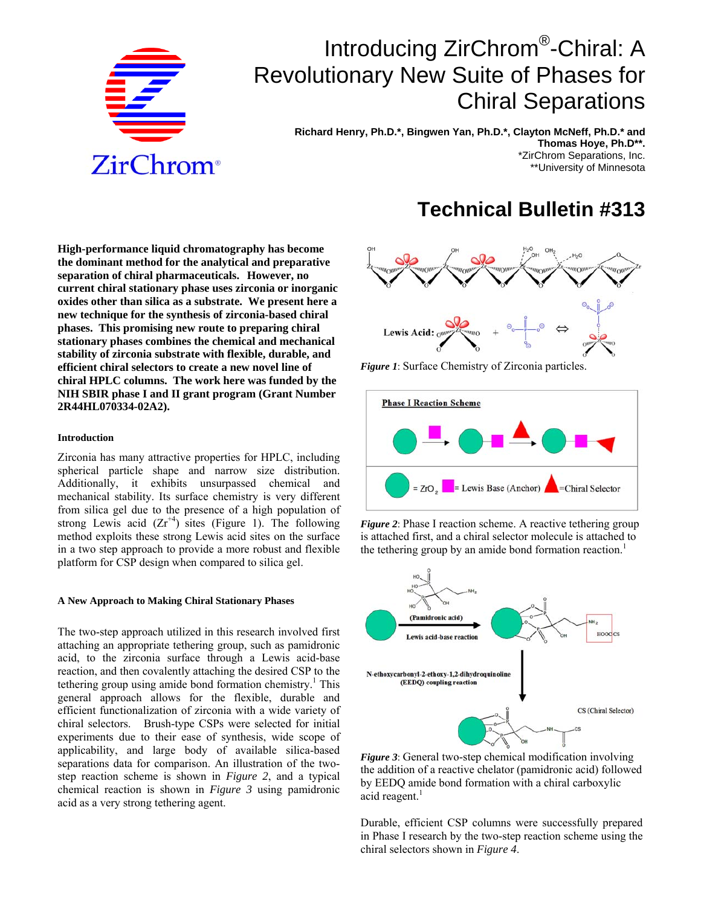

# Introducing ZirChrom®-Chiral: A Revolutionary New Suite of Phases for Chiral Separations

 **Richard Henry, Ph.D.\*, Bingwen Yan, Ph.D.\*, Clayton McNeff, Ph.D.\* and Thomas Hoye, Ph.D\*\*.** \*ZirChrom Separations, Inc. \*\*University of Minnesota

## **Technical Bulletin #313**

**High-performance liquid chromatography has become the dominant method for the analytical and preparative separation of chiral pharmaceuticals. However, no current chiral stationary phase uses zirconia or inorganic oxides other than silica as a substrate. We present here a new technique for the synthesis of zirconia-based chiral phases. This promising new route to preparing chiral stationary phases combines the chemical and mechanical stability of zirconia substrate with flexible, durable, and efficient chiral selectors to create a new novel line of chiral HPLC columns. The work here was funded by the NIH SBIR phase I and II grant program (Grant Number 2R44HL070334-02A2).** 

#### **Introduction**

Zirconia has many attractive properties for HPLC, including spherical particle shape and narrow size distribution. Additionally, it exhibits unsurpassed chemical and mechanical stability. Its surface chemistry is very different from silica gel due to the presence of a high population of strong Lewis acid  $(Zr^{+4})$  sites (Figure 1). The following method exploits these strong Lewis acid sites on the surface in a two step approach to provide a more robust and flexible platform for CSP design when compared to silica gel.

#### **A New Approach to Making Chiral Stationary Phases**

The two-step approach utilized in this research involved first attaching an appropriate tethering group, such as pamidronic acid, to the zirconia surface through a Lewis acid-base reaction, and then covalently attaching the desired CSP to the tethering group using amide bond formation chemistry.<sup>1</sup> This general approach allows for the flexible, durable and efficient functionalization of zirconia with a wide variety of chiral selectors. Brush-type CSPs were selected for initial experiments due to their ease of synthesis, wide scope of applicability, and large body of available silica-based separations data for comparison. An illustration of the twostep reaction scheme is shown in *Figure 2*, and a typical chemical reaction is shown in *Figure 3* using pamidronic acid as a very strong tethering agent.



*Figure 1*: Surface Chemistry of Zirconia particles.



*Figure 2*: Phase I reaction scheme. A reactive tethering group is attached first, and a chiral selector molecule is attached to the tethering group by an amide bond formation reaction.<sup>1</sup>



*Figure 3*: General two-step chemical modification involving the addition of a reactive chelator (pamidronic acid) followed by EEDQ amide bond formation with a chiral carboxylic acid reagent. $<sup>1</sup>$ </sup>

Durable, efficient CSP columns were successfully prepared in Phase I research by the two-step reaction scheme using the chiral selectors shown in *Figure 4*.